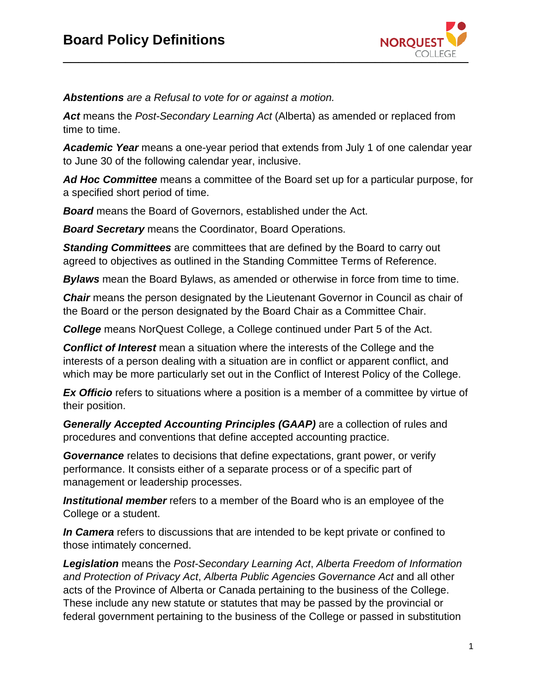

*Abstentions are a Refusal to vote for or against a motion.*

*Act* means the *Post-Secondary Learning Act* (Alberta) as amended or replaced from time to time.

*Academic Year* means a one-year period that extends from July 1 of one calendar year to June 30 of the following calendar year, inclusive.

*Ad Hoc Committee* means a committee of the Board set up for a particular purpose, for a specified short period of time.

*Board* means the Board of Governors, established under the Act.

*Board Secretary* means the Coordinator, Board Operations.

*Standing Committees* are committees that are defined by the Board to carry out agreed to objectives as outlined in the Standing Committee Terms of Reference.

*Bylaws* mean the Board Bylaws, as amended or otherwise in force from time to time.

*Chair* means the person designated by the Lieutenant Governor in Council as chair of the Board or the person designated by the Board Chair as a Committee Chair.

*College* means NorQuest College, a College continued under Part 5 of the Act.

*Conflict of Interest* mean a situation where the interests of the College and the interests of a person dealing with a situation are in conflict or apparent conflict, and which may be more particularly set out in the Conflict of Interest Policy of the College.

**Ex Officio** refers to situations where a position is a member of a committee by virtue of their position.

**Generally Accepted Accounting Principles (GAAP)** are a collection of rules and procedures and conventions that define accepted accounting practice.

*Governance* relates to decisions that define expectations, grant power, or verify performance. It consists either of a separate process or of a specific part of management or leadership processes.

*Institutional member* refers to a member of the Board who is an employee of the College or a student.

*In Camera* refers to discussions that are intended to be kept private or confined to those intimately concerned.

*Legislation* means the *Post-Secondary Learning Act*, *Alberta Freedom of Information and Protection of Privacy Act*, *Alberta Public Agencies Governance Act* and all other acts of the Province of Alberta or Canada pertaining to the business of the College. These include any new statute or statutes that may be passed by the provincial or federal government pertaining to the business of the College or passed in substitution